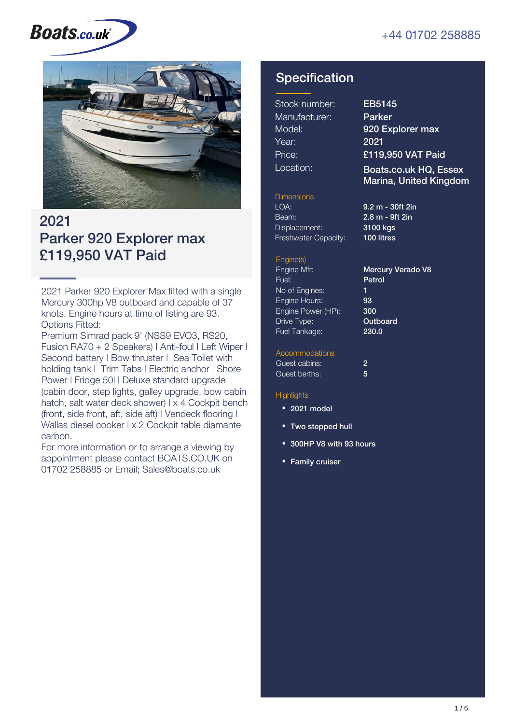#### +44 01702 258885

# **Boats.co.uk**



### 2021 Parker 920 Explorer max £119,950 VAT Paid

2021 Parker 920 Explorer Max fitted with a single Mercury 300hp V8 outboard and capable of 37 knots. Engine hours at time of listing are 93. Options Fitted:

Premium Simrad pack 9' (NSS9 EVO3, RS20, Fusion RA70 + 2 Speakers) | Anti-foul | Left Wiper | Second battery | Bow thruster | Sea Toilet with holding tank I Trim Tabs I Electric anchor I Shore Power | Fridge 50l | Deluxe standard upgrade (cabin door, step lights, galley upgrade, bow cabin hatch, salt water deck shower) | x 4 Cockpit bench (front, side front, aft, side aft) | Vendeck flooring | Wallas diesel cooker | x 2 Cockpit table diamante carbon.

For more information or to arrange a viewing by appointment please contact BOATS.CO.UK on 01702 258885 or Email; Sales@boats.co.uk

#### **Specification**

| Stock number: |
|---------------|
| Manufacturer: |
| Model:        |
| Year:         |
| Price:        |
| Location:     |

EB5145 Parker 920 Explorer max 2021 £119,950 VAT Paid

Boats.co.uk HQ, Essex Marina, United Kingdom

#### **Dimensions**

LOA: 9.2 m - 30ft 2in Beam: Displacement: Freshwater Capacity:

2.8 m - 9ft 2in 3100 kgs 100 litres

#### Engine(s)

Engine Mfr: Fuel: No of Engines: Engine Hours: Engine Power (HP): Drive Type: Fuel Tankage: 1 93 300

Mercury Verado V8 Petrol **Outboard** 230.0

#### **Accommodations**

| Guest cabins: |   |  |
|---------------|---|--|
| Guest berths: | 5 |  |

#### **Highlights**

- 2021 model
- Two stepped hull
- 300HP V8 with 93 hours
- Family cruiser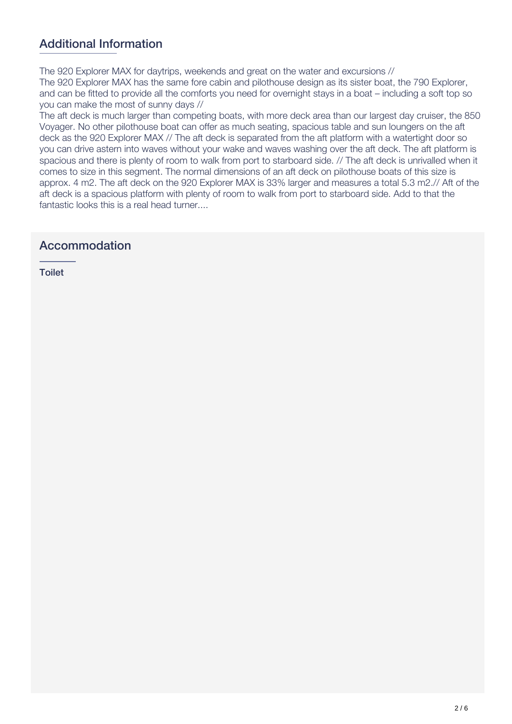#### Additional Information

The 920 Explorer MAX for daytrips, weekends and great on the water and excursions // The 920 Explorer MAX has the same fore cabin and pilothouse design as its sister boat, the 790 Explorer,

and can be fitted to provide all the comforts you need for overnight stays in a boat – including a soft top so you can make the most of sunny days //

The aft deck is much larger than competing boats, with more deck area than our largest day cruiser, the 850 Voyager. No other pilothouse boat can offer as much seating, spacious table and sun loungers on the aft deck as the 920 Explorer MAX // The aft deck is separated from the aft platform with a watertight door so you can drive astern into waves without your wake and waves washing over the aft deck. The aft platform is spacious and there is plenty of room to walk from port to starboard side. // The aft deck is unrivalled when it comes to size in this segment. The normal dimensions of an aft deck on pilothouse boats of this size is approx. 4 m2. The aft deck on the 920 Explorer MAX is 33% larger and measures a total 5.3 m2.// Aft of the aft deck is a spacious platform with plenty of room to walk from port to starboard side. Add to that the fantastic looks this is a real head turner....

#### Accommodation

Toilet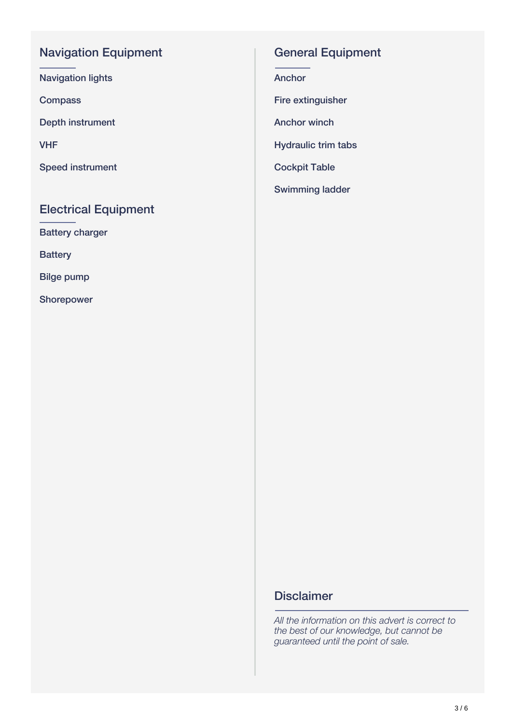#### Navigation Equipment

Navigation lights

**Compass** 

Depth instrument

VHF

Speed instrument

#### Electrical Equipment

Battery charger

**Battery** 

Bilge pump

Shorepower

#### General Equipment

Anchor

Fire extinguisher

Anchor winch

Hydraulic trim tabs

Cockpit Table

Swimming ladder

#### **Disclaimer**

*All the information on this advert is correct to the best of our knowledge, but cannot be guaranteed until the point of sale.*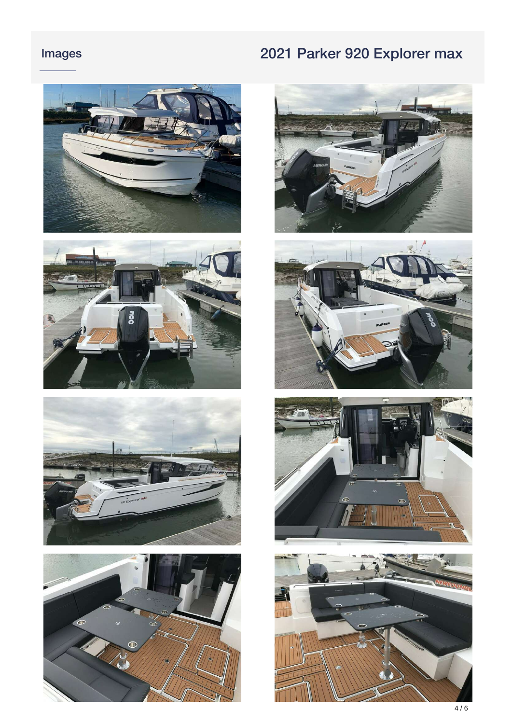### Images

# 2021 Parker 920 Explorer max















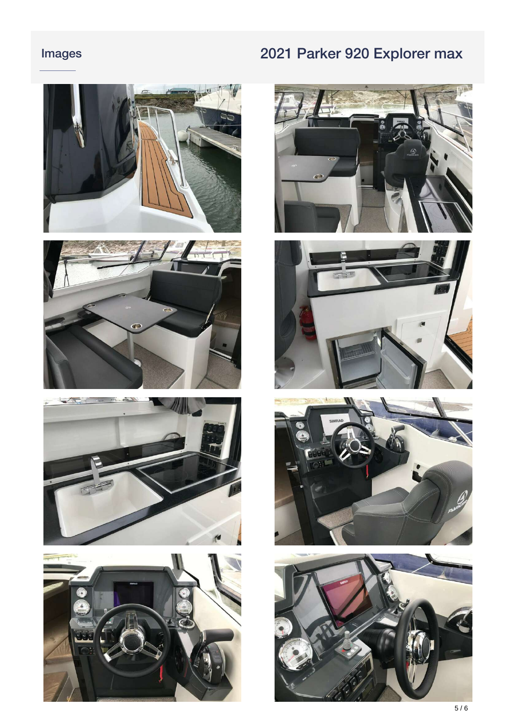### Images

## 2021 Parker 920 Explorer max